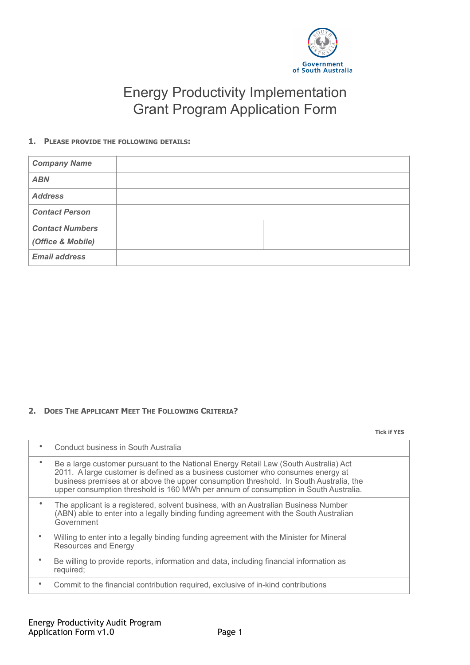

# Energy Productivity Implementation Grant Program Application Form

### **1. PLEASE PROVIDE THE FOLLOWING DETAILS:**

| <b>Company Name</b>    |  |
|------------------------|--|
| <b>ABN</b>             |  |
| <b>Address</b>         |  |
| <b>Contact Person</b>  |  |
| <b>Contact Numbers</b> |  |
| (Office & Mobile)      |  |
| <b>Email address</b>   |  |

## **2. DOES THE APPLICANT MEET THE FOLLOWING CRITERIA?**

**Tick if YES**

|   | Conduct business in South Australia                                                                                                                                                                                                                                                                                                                      |  |
|---|----------------------------------------------------------------------------------------------------------------------------------------------------------------------------------------------------------------------------------------------------------------------------------------------------------------------------------------------------------|--|
| ٠ | Be a large customer pursuant to the National Energy Retail Law (South Australia) Act<br>2011. A large customer is defined as a business customer who consumes energy at<br>business premises at or above the upper consumption threshold. In South Australia, the<br>upper consumption threshold is 160 MWh per annum of consumption in South Australia. |  |
|   | The applicant is a registered, solvent business, with an Australian Business Number<br>(ABN) able to enter into a legally binding funding agreement with the South Australian<br>Government                                                                                                                                                              |  |
|   | Willing to enter into a legally binding funding agreement with the Minister for Mineral<br>Resources and Energy                                                                                                                                                                                                                                          |  |
|   | Be willing to provide reports, information and data, including financial information as<br>required;                                                                                                                                                                                                                                                     |  |
|   | Commit to the financial contribution required, exclusive of in-kind contributions                                                                                                                                                                                                                                                                        |  |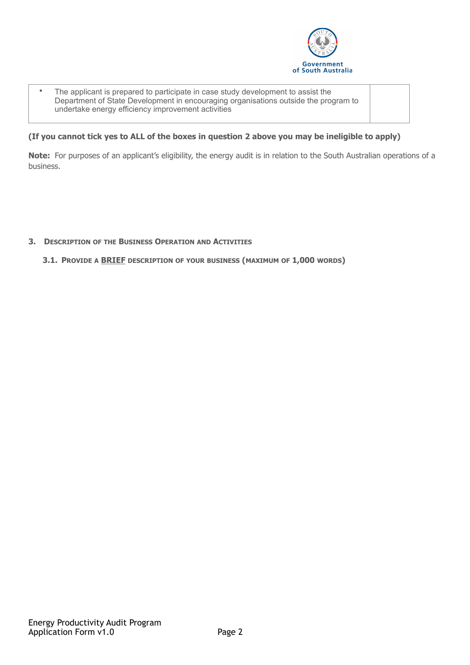

### The applicant is prepared to participate in case study development to assist the Department of State Development in encouraging organisations outside the program to undertake energy efficiency improvement activities

### **(If you cannot tick yes to ALL of the boxes in question 2 above you may be ineligible to apply)**

**Note:** For purposes of an applicant's eligibility, the energy audit is in relation to the South Australian operations of a business.

- **3. DESCRIPTION OF THE BUSINESS OPERATION AND ACTIVITIES**
	- **3.1. PROVIDE A BRIEF DESCRIPTION OF YOUR BUSINESS (MAXIMUM OF 1,000 WORDS)**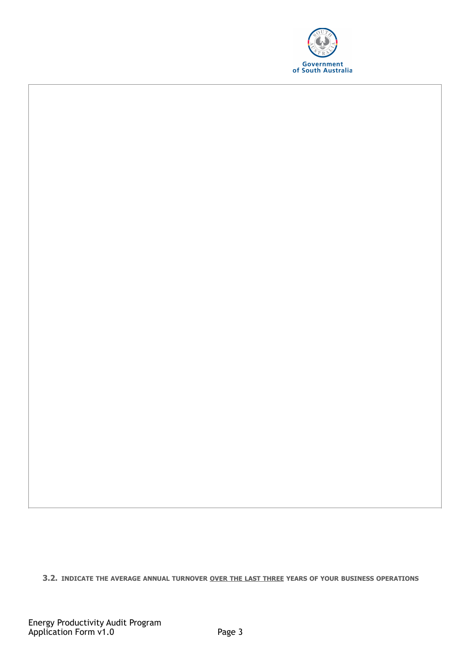



**3.2. INDICATE THE AVERAGE ANNUAL TURNOVER OVER THE LAST THREE YEARS OF YOUR BUSINESS OPERATIONS**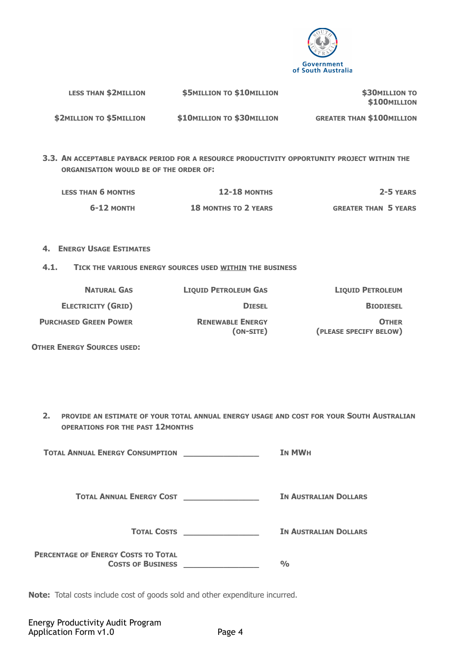

| <b>LESS THAN \$2MILLION</b>     | <b>\$5MILLION TO \$10MILLION</b> | <b>\$30MILLION TO</b><br>\$100MILLION |
|---------------------------------|----------------------------------|---------------------------------------|
| <b>\$2MILLION TO \$5MILLION</b> | \$10MILLION TO \$30MILLION       | <b>GREATER THAN \$100MILLION</b>      |

**3.3. AN ACCEPTABLE PAYBACK PERIOD FOR A RESOURCE PRODUCTIVITY OPPORTUNITY PROJECT WITHIN THE ORGANISATION WOULD BE OF THE ORDER OF:** 

| <b>LESS THAN 6 MONTHS</b> | $12-18$ months              | 2-5 YEARS                   |
|---------------------------|-----------------------------|-----------------------------|
| $6-12$ MONTH              | <b>18 MONTHS TO 2 YEARS</b> | <b>GREATER THAN 5 YEARS</b> |

- **4. ENERGY USAGE ESTIMATES**
- **4.1. TICK THE VARIOUS ENERGY SOURCES USED WITHIN THE BUSINESS**

| <b>LIQUID PETROLEUM</b>                | <b>LIQUID PETROLEUM GAS</b>            | <b>NATURAL GAS</b>           |
|----------------------------------------|----------------------------------------|------------------------------|
| <b>BIODIESEL</b>                       | <b>DIESEL</b>                          | <b>ELECTRICITY (GRID)</b>    |
| <b>OTHER</b><br>(PLEASE SPECIFY BELOW) | <b>RENEWABLE ENERGY</b><br>$(ON-SITE)$ | <b>PURCHASED GREEN POWER</b> |

**OTHER ENERGY SOURCES USED:** 

**2. PROVIDE AN ESTIMATE OF YOUR TOTAL ANNUAL ENERGY USAGE AND COST FOR YOUR SOUTH AUSTRALIAN OPERATIONS FOR THE PAST 12MONTHS**

**TOTAL ANNUAL ENERGY CONSUMPTION \_\_\_\_\_\_\_\_\_\_\_\_\_\_\_ IN MWH TOTAL ANNUAL ENERGY COST \_\_\_\_\_\_\_\_\_\_\_\_\_\_\_ IN AUSTRALIAN DOLLARS TOTAL COSTS \_\_\_\_\_\_\_\_\_\_\_\_\_\_\_ IN AUSTRALIAN DOLLARS PERCENTAGE OF ENERGY COSTS TO TOTAL COSTS OF BUSINESS \_\_\_\_\_\_\_\_\_\_\_\_\_\_\_ %**

**Note:** Total costs include cost of goods sold and other expenditure incurred.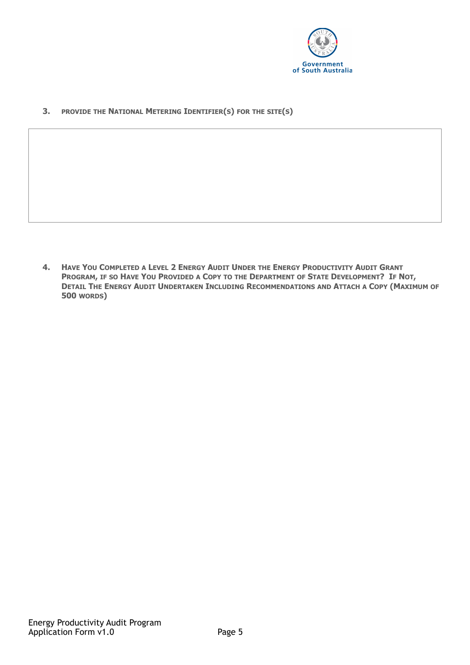

# **3. PROVIDE THE NATIONAL METERING IDENTIFIER(S) FOR THE SITE(S)**

**4. HAVE YOU COMPLETED A LEVEL 2 ENERGY AUDIT UNDER THE ENERGY PRODUCTIVITY AUDIT GRANT PROGRAM, IF SO HAVE YOU PROVIDED A COPY TO THE DEPARTMENT OF STATE DEVELOPMENT? IF NOT, DETAIL THE ENERGY AUDIT UNDERTAKEN INCLUDING RECOMMENDATIONS AND ATTACH A COPY (MAXIMUM OF 500 WORDS)**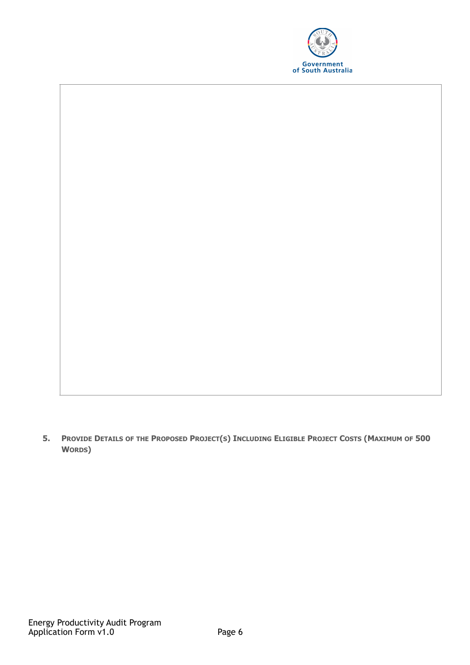



**5. PROVIDE DETAILS OF THE PROPOSED PROJECT(S) INCLUDING ELIGIBLE PROJECT COSTS (MAXIMUM OF 500 WORDS)**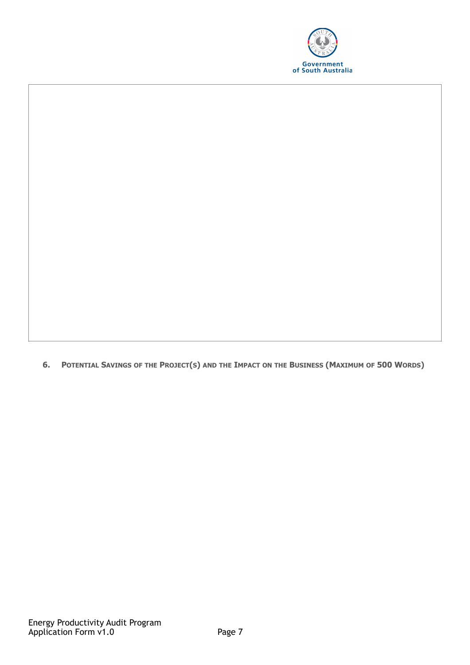

**6. POTENTIAL SAVINGS OF THE PROJECT(S) AND THE IMPACT ON THE BUSINESS (MAXIMUM OF 500 WORDS)**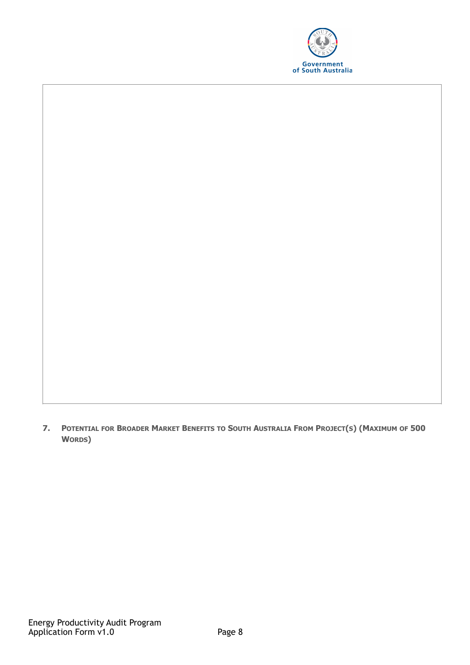

**7. POTENTIAL FOR BROADER MARKET BENEFITS TO SOUTH AUSTRALIA FROM PROJECT(S) (MAXIMUM OF 500** 

**WORDS)**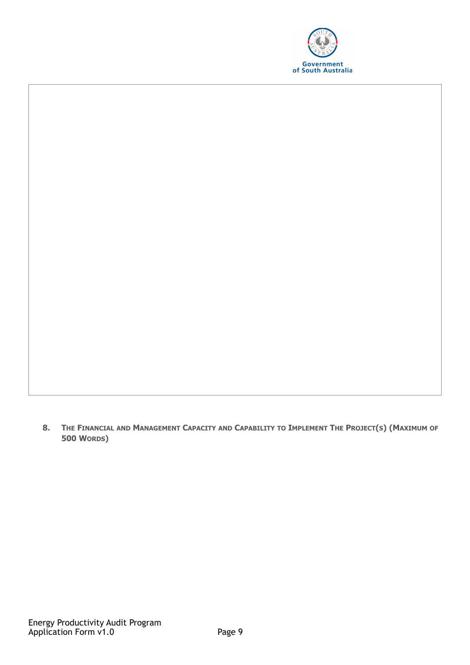

# **8. THE FINANCIAL AND MANAGEMENT CAPACITY AND CAPABILITY TO IMPLEMENT THE PROJECT(S) (MAXIMUM OF 500 WORDS)**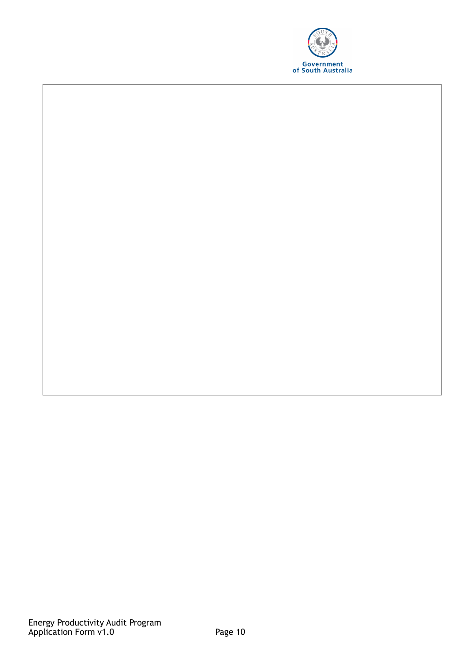

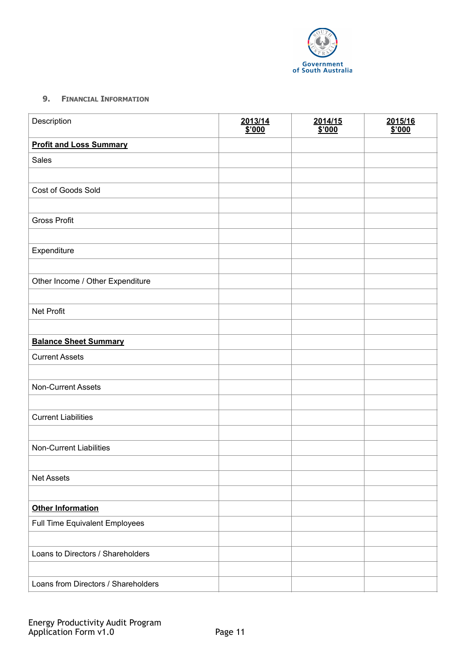

## **9. FINANCIAL INFORMATION**

| Description                         | 2013/14<br>\$'000 | 2014/15<br>\$'000 | 2015/16<br>\$'000 |
|-------------------------------------|-------------------|-------------------|-------------------|
| <b>Profit and Loss Summary</b>      |                   |                   |                   |
| <b>Sales</b>                        |                   |                   |                   |
|                                     |                   |                   |                   |
| Cost of Goods Sold                  |                   |                   |                   |
|                                     |                   |                   |                   |
| <b>Gross Profit</b>                 |                   |                   |                   |
|                                     |                   |                   |                   |
| Expenditure                         |                   |                   |                   |
|                                     |                   |                   |                   |
| Other Income / Other Expenditure    |                   |                   |                   |
|                                     |                   |                   |                   |
| Net Profit                          |                   |                   |                   |
|                                     |                   |                   |                   |
| <b>Balance Sheet Summary</b>        |                   |                   |                   |
| <b>Current Assets</b>               |                   |                   |                   |
|                                     |                   |                   |                   |
| Non-Current Assets                  |                   |                   |                   |
|                                     |                   |                   |                   |
| <b>Current Liabilities</b>          |                   |                   |                   |
|                                     |                   |                   |                   |
| <b>Non-Current Liabilities</b>      |                   |                   |                   |
|                                     |                   |                   |                   |
| <b>Net Assets</b>                   |                   |                   |                   |
|                                     |                   |                   |                   |
| <b>Other Information</b>            |                   |                   |                   |
| Full Time Equivalent Employees      |                   |                   |                   |
|                                     |                   |                   |                   |
| Loans to Directors / Shareholders   |                   |                   |                   |
|                                     |                   |                   |                   |
| Loans from Directors / Shareholders |                   |                   |                   |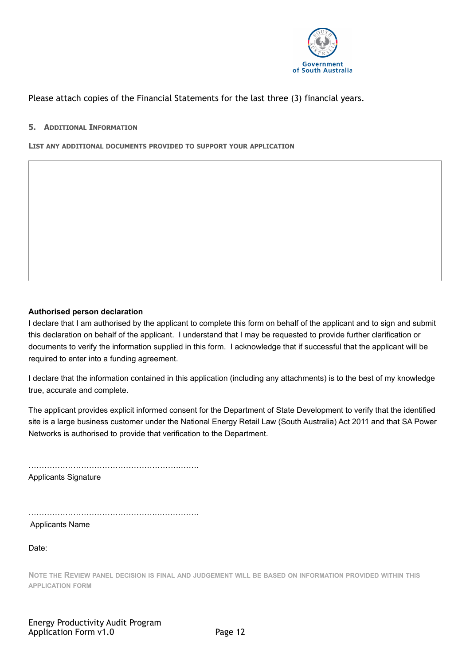

# Please attach copies of the Financial Statements for the last three (3) financial years.

### **5. ADDITIONAL INFORMATION**

**LIST ANY ADDITIONAL DOCUMENTS PROVIDED TO SUPPORT YOUR APPLICATION**

#### **Authorised person declaration**

I declare that I am authorised by the applicant to complete this form on behalf of the applicant and to sign and submit this declaration on behalf of the applicant. I understand that I may be requested to provide further clarification or documents to verify the information supplied in this form. I acknowledge that if successful that the applicant will be required to enter into a funding agreement.

I declare that the information contained in this application (including any attachments) is to the best of my knowledge true, accurate and complete.

The applicant provides explicit informed consent for the Department of State Development to verify that the identified site is a large business customer under the National Energy Retail Law (South Australia) Act 2011 and that SA Power Networks is authorised to provide that verification to the Department.

………………………………………………….…….

Applicants Signature

……………………………………………………………………………

Applicants Name

Date:

**NOTE THE REVIEW PANEL DECISION IS FINAL AND JUDGEMENT WILL BE BASED ON INFORMATION PROVIDED WITHIN THIS APPLICATION FORM**